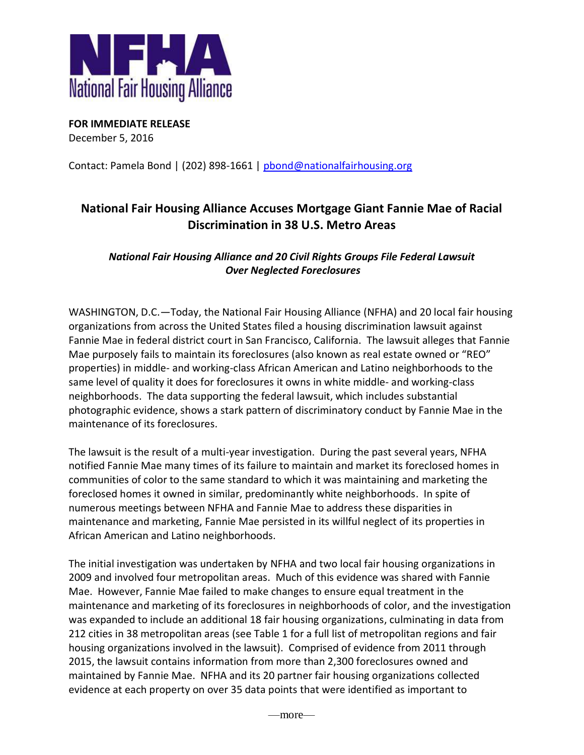

**FOR IMMEDIATE RELEASE** December 5, 2016

Contact: Pamela Bond | (202) 898-1661 | [pbond@nationalfairhousing.org](mailto:pbond@nationalfairhousing.org)

# **National Fair Housing Alliance Accuses Mortgage Giant Fannie Mae of Racial Discrimination in 38 U.S. Metro Areas**

# *National Fair Housing Alliance and 20 Civil Rights Groups File Federal Lawsuit Over Neglected Foreclosures*

WASHINGTON, D.C.—Today, the National Fair Housing Alliance (NFHA) and 20 local fair housing organizations from across the United States filed a housing discrimination lawsuit against Fannie Mae in federal district court in San Francisco, California. The lawsuit alleges that Fannie Mae purposely fails to maintain its foreclosures (also known as real estate owned or "REO" properties) in middle- and working-class African American and Latino neighborhoods to the same level of quality it does for foreclosures it owns in white middle- and working-class neighborhoods. The data supporting the federal lawsuit, which includes substantial photographic evidence, shows a stark pattern of discriminatory conduct by Fannie Mae in the maintenance of its foreclosures.

The lawsuit is the result of a multi-year investigation. During the past several years, NFHA notified Fannie Mae many times of its failure to maintain and market its foreclosed homes in communities of color to the same standard to which it was maintaining and marketing the foreclosed homes it owned in similar, predominantly white neighborhoods. In spite of numerous meetings between NFHA and Fannie Mae to address these disparities in maintenance and marketing, Fannie Mae persisted in its willful neglect of its properties in African American and Latino neighborhoods.

The initial investigation was undertaken by NFHA and two local fair housing organizations in 2009 and involved four metropolitan areas. Much of this evidence was shared with Fannie Mae. However, Fannie Mae failed to make changes to ensure equal treatment in the maintenance and marketing of its foreclosures in neighborhoods of color, and the investigation was expanded to include an additional 18 fair housing organizations, culminating in data from 212 cities in 38 metropolitan areas (see Table 1 for a full list of metropolitan regions and fair housing organizations involved in the lawsuit). Comprised of evidence from 2011 through 2015, the lawsuit contains information from more than 2,300 foreclosures owned and maintained by Fannie Mae. NFHA and its 20 partner fair housing organizations collected evidence at each property on over 35 data points that were identified as important to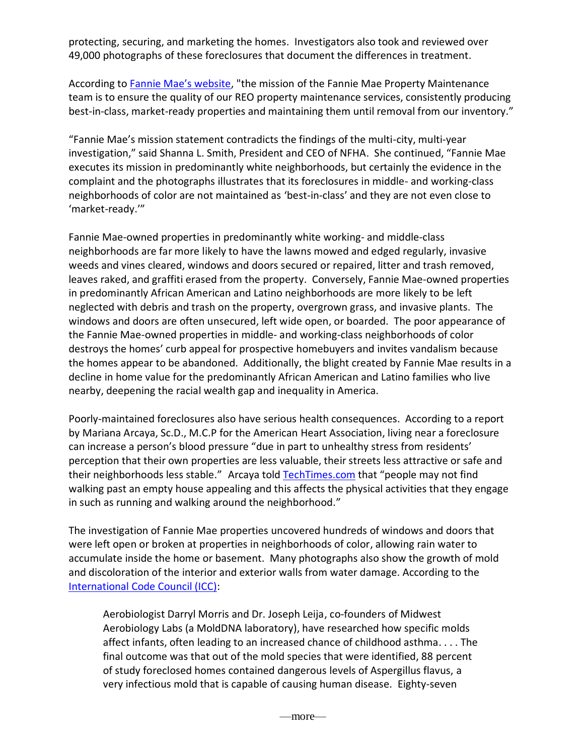protecting, securing, and marketing the homes. Investigators also took and reviewed over 49,000 photographs of these foreclosures that document the differences in treatment.

According to [Fannie Mae's website](https://www.homepath.com/field-services.html), "the mission of the Fannie Mae Property Maintenance team is to ensure the quality of our REO property maintenance services, consistently producing best-in-class, market-ready properties and maintaining them until removal from our inventory."

"Fannie Mae's mission statement contradicts the findings of the multi-city, multi-year investigation," said Shanna L. Smith, President and CEO of NFHA. She continued, "Fannie Mae executes its mission in predominantly white neighborhoods, but certainly the evidence in the complaint and the photographs illustrates that its foreclosures in middle- and working-class neighborhoods of color are not maintained as 'best-in-class' and they are not even close to 'market-ready.'"

Fannie Mae-owned properties in predominantly white working- and middle-class neighborhoods are far more likely to have the lawns mowed and edged regularly, invasive weeds and vines cleared, windows and doors secured or repaired, litter and trash removed, leaves raked, and graffiti erased from the property. Conversely, Fannie Mae-owned properties in predominantly African American and Latino neighborhoods are more likely to be left neglected with debris and trash on the property, overgrown grass, and invasive plants. The windows and doors are often unsecured, left wide open, or boarded. The poor appearance of the Fannie Mae-owned properties in middle- and working-class neighborhoods of color destroys the homes' curb appeal for prospective homebuyers and invites vandalism because the homes appear to be abandoned. Additionally, the blight created by Fannie Mae results in a decline in home value for the predominantly African American and Latino families who live nearby, deepening the racial wealth gap and inequality in America.

Poorly-maintained foreclosures also have serious health consequences. According to a report by Mariana Arcaya, Sc.D., M.C.P for the American Heart Association, living near a foreclosure can increase a person's blood pressure "due in part to unhealthy stress from residents' perception that their own properties are less valuable, their streets less attractive or safe and their neighborhoods less stable." Arcaya tol[d TechTimes.com](http://www.techtimes.com/articles/6947/20140514/that-foreclosed-property-near-you-might-be-causing-your-high-blood-pressure-stress-study.htm) that "people may not find walking past an empty house appealing and this affects the physical activities that they engage in such as running and walking around the neighborhood."

The investigation of Fannie Mae properties uncovered hundreds of windows and doors that were left open or broken at properties in neighborhoods of color, allowing rain water to accumulate inside the home or basement. Many photographs also show the growth of mold and discoloration of the interior and exterior walls from water damage. According to the [International Code Council \(ICC\):](http://media.iccsafe.org/news/eNews/2013v10n15/industry.html)

Aerobiologist Darryl Morris and Dr. Joseph Leija, co-founders of Midwest Aerobiology Labs (a MoldDNA laboratory), have researched how specific molds affect infants, often leading to an increased chance of childhood asthma. . . . The final outcome was that out of the mold species that were identified, 88 percent of study foreclosed homes contained dangerous levels of Aspergillus flavus, a very infectious mold that is capable of causing human disease. Eighty-seven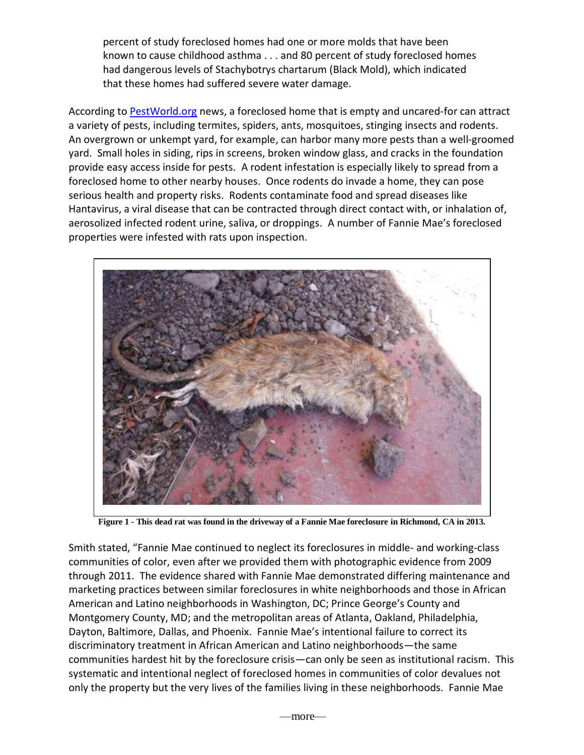percent of study foreclosed homes had one or more molds that have been known to cause childhood asthma . . . and 80 percent of study foreclosed homes had dangerous levels of Stachybotrys chartarum (Black Mold), which indicated that these homes had suffered severe water damage.

According to [PestWorld.org](http://www.pestworld.org/news-hub/pest-articles/rodents-foreclosures/) news, a foreclosed home that is empty and uncared-for can attract a variety of pests, including termites, spiders, ants, mosquitoes, stinging insects and rodents. An overgrown or unkempt yard, for example, can harbor many more pests than a well-groomed yard. Small holes in siding, rips in screens, broken window glass, and cracks in the foundation provide easy access inside for pests. A rodent infestation is especially likely to spread from a foreclosed home to other nearby houses. Once rodents do invade a home, they can pose serious health and property risks. Rodents contaminate food and spread diseases like Hantavirus, a viral disease that can be contracted through direct contact with, or inhalation of, aerosolized infected rodent urine, saliva, or droppings. A number of Fannie Mae's foreclosed properties were infested with rats upon inspection.



**Figure 1 - This dead rat was found in the driveway of a Fannie Mae foreclosure in Richmond, CA in 2013.**

Smith stated, "Fannie Mae continued to neglect its foreclosures in middle- and working-class communities of color, even after we provided them with photographic evidence from 2009 through 2011. The evidence shared with Fannie Mae demonstrated differing maintenance and marketing practices between similar foreclosures in white neighborhoods and those in African American and Latino neighborhoods in Washington, DC; Prince George's County and Montgomery County, MD; and the metropolitan areas of Atlanta, Oakland, Philadelphia, Dayton, Baltimore, Dallas, and Phoenix. Fannie Mae's intentional failure to correct its discriminatory treatment in African American and Latino neighborhoods—the same communities hardest hit by the foreclosure crisis—can only be seen as institutional racism. This systematic and intentional neglect of foreclosed homes in communities of color devalues not only the property but the very lives of the families living in these neighborhoods. Fannie Mae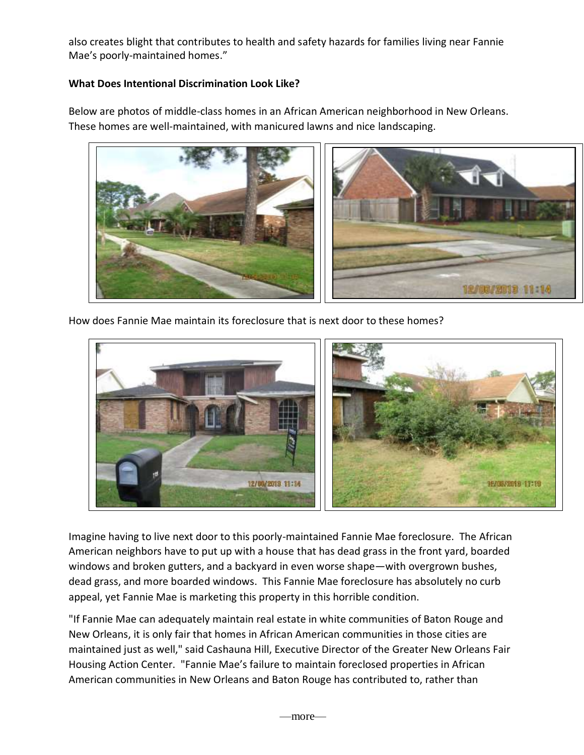also creates blight that contributes to health and safety hazards for families living near Fannie Mae's poorly-maintained homes."

# **What Does Intentional Discrimination Look Like?**

Below are photos of middle-class homes in an African American neighborhood in New Orleans. These homes are well-maintained, with manicured lawns and nice landscaping.



How does Fannie Mae maintain its foreclosure that is next door to these homes?



Imagine having to live next door to this poorly-maintained Fannie Mae foreclosure. The African American neighbors have to put up with a house that has dead grass in the front yard, boarded windows and broken gutters, and a backyard in even worse shape—with overgrown bushes, dead grass, and more boarded windows. This Fannie Mae foreclosure has absolutely no curb appeal, yet Fannie Mae is marketing this property in this horrible condition.

"If Fannie Mae can adequately maintain real estate in white communities of Baton Rouge and New Orleans, it is only fair that homes in African American communities in those cities are maintained just as well," said Cashauna Hill, Executive Director of the Greater New Orleans Fair Housing Action Center. "Fannie Mae's failure to maintain foreclosed properties in African American communities in New Orleans and Baton Rouge has contributed to, rather than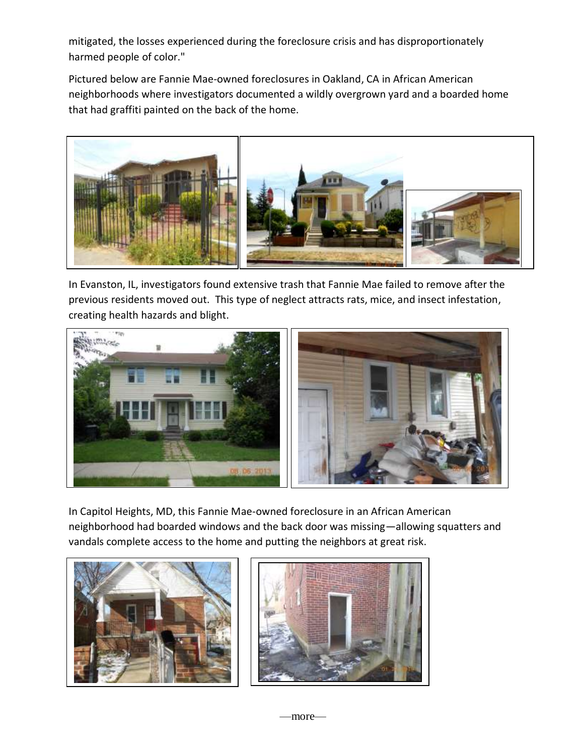mitigated, the losses experienced during the foreclosure crisis and has disproportionately harmed people of color."

Pictured below are Fannie Mae-owned foreclosures in Oakland, CA in African American neighborhoods where investigators documented a wildly overgrown yard and a boarded home that had graffiti painted on the back of the home.



In Evanston, IL, investigators found extensive trash that Fannie Mae failed to remove after the previous residents moved out. This type of neglect attracts rats, mice, and insect infestation, creating health hazards and blight.



In Capitol Heights, MD, this Fannie Mae-owned foreclosure in an African American neighborhood had boarded windows and the back door was missing—allowing squatters and vandals complete access to the home and putting the neighbors at great risk.



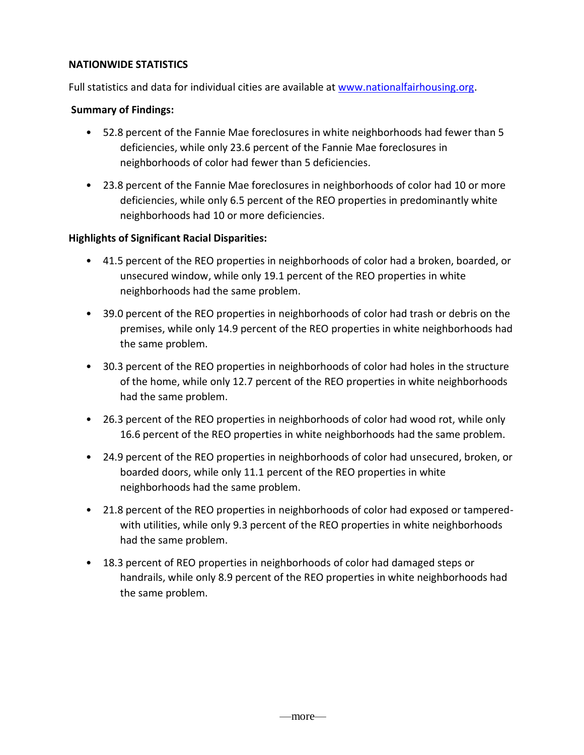### **NATIONWIDE STATISTICS**

Full statistics and data for individual cities are available at [www.nationalfairhousing.org.](http://www.nationalfairhousing.org/)

## **Summary of Findings:**

- 52.8 percent of the Fannie Mae foreclosures in white neighborhoods had fewer than 5 deficiencies, while only 23.6 percent of the Fannie Mae foreclosures in neighborhoods of color had fewer than 5 deficiencies.
- 23.8 percent of the Fannie Mae foreclosures in neighborhoods of color had 10 or more deficiencies, while only 6.5 percent of the REO properties in predominantly white neighborhoods had 10 or more deficiencies.

## **Highlights of Significant Racial Disparities:**

- 41.5 percent of the REO properties in neighborhoods of color had a broken, boarded, or unsecured window, while only 19.1 percent of the REO properties in white neighborhoods had the same problem.
- 39.0 percent of the REO properties in neighborhoods of color had trash or debris on the premises, while only 14.9 percent of the REO properties in white neighborhoods had the same problem.
- 30.3 percent of the REO properties in neighborhoods of color had holes in the structure of the home, while only 12.7 percent of the REO properties in white neighborhoods had the same problem.
- 26.3 percent of the REO properties in neighborhoods of color had wood rot, while only 16.6 percent of the REO properties in white neighborhoods had the same problem.
- 24.9 percent of the REO properties in neighborhoods of color had unsecured, broken, or boarded doors, while only 11.1 percent of the REO properties in white neighborhoods had the same problem.
- 21.8 percent of the REO properties in neighborhoods of color had exposed or tamperedwith utilities, while only 9.3 percent of the REO properties in white neighborhoods had the same problem.
- 18.3 percent of REO properties in neighborhoods of color had damaged steps or handrails, while only 8.9 percent of the REO properties in white neighborhoods had the same problem.